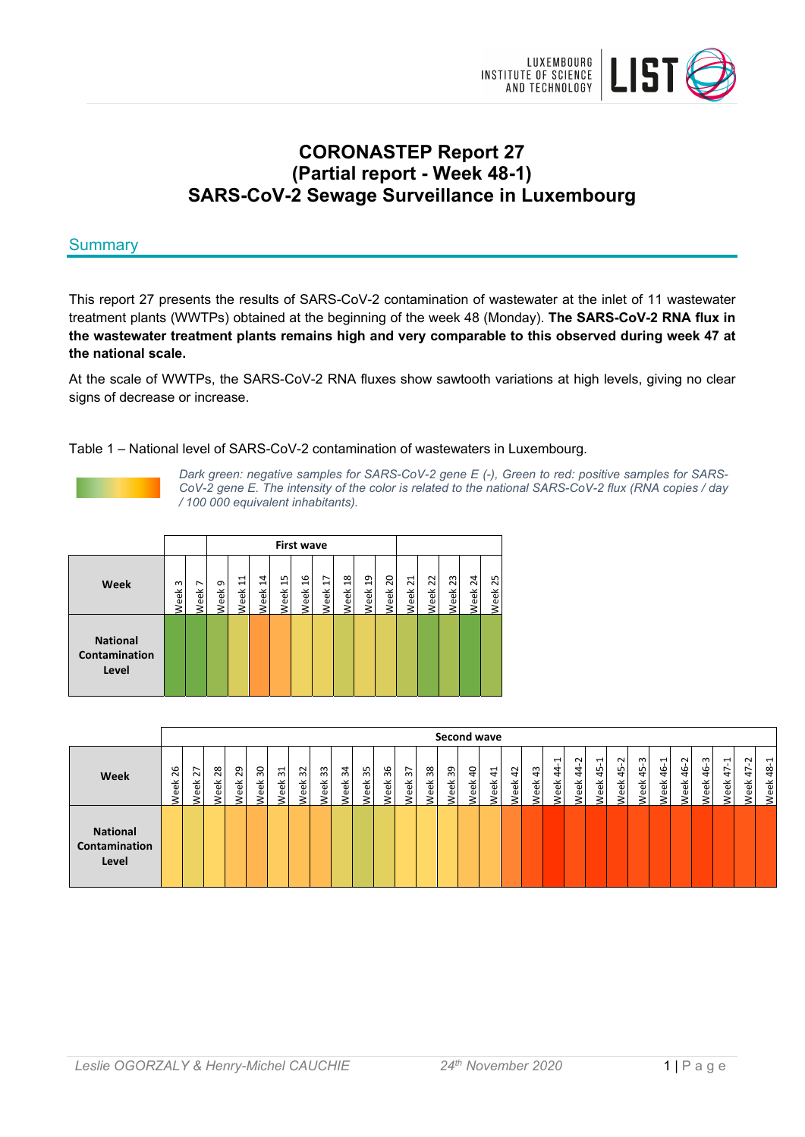

# **CORONASTEP Report 27 (Partial report - Week 48-1) SARS-CoV-2 Sewage Surveillance in Luxembourg**

# **Summary**

This report 27 presents the results of SARS-CoV-2 contamination of wastewater at the inlet of 11 wastewater treatment plants (WWTPs) obtained at the beginning of the week 48 (Monday). **The SARS-CoV-2 RNA flux in the wastewater treatment plants remains high and very comparable to this observed during week 47 at the national scale.** 

At the scale of WWTPs, the SARS-CoV-2 RNA fluxes show sawtooth variations at high levels, giving no clear signs of decrease or increase.

Table 1 – National level of SARS-CoV-2 contamination of wastewaters in Luxembourg.



*Dark green: negative samples for SARS-CoV-2 gene E (-), Green to red: positive samples for SARS-CoV-2 gene E. The intensity of the color is related to the national SARS-CoV-2 flux (RNA copies / day / 100 000 equivalent inhabitants).* 

|                                           |                  |                                  |           |           |                        |           | <b>First wave</b>     |           |                       |           |           |           |            |            |            |            |
|-------------------------------------------|------------------|----------------------------------|-----------|-----------|------------------------|-----------|-----------------------|-----------|-----------------------|-----------|-----------|-----------|------------|------------|------------|------------|
| Week                                      | $\omega$<br>Week | $\overline{\phantom{0}}$<br>Week | െ<br>Week | 님<br>Week | $\overline{4}$<br>Week | ង<br>Week | $\frac{6}{1}$<br>Week | Ħ<br>Week | $\frac{8}{1}$<br>Week | ٩<br>Week | ຊ<br>Week | ನ<br>Week | 22<br>Week | ಬಿ<br>Week | 24<br>Week | ద్<br>Week |
| <b>National</b><br>Contamination<br>Level |                  |                                  |           |           |                        |           |                       |           |                       |           |           |           |            |            |            |            |

|                                           |                   |                        |                              |                   |                                |                                |                                                 |                            |                   |                   |                              |                                                 |                   |                   | Second wave               |                        |                               |                   |                            |                                 |                                               |                        |                   |                                                     |                                   |                     |                            |                                                 |                                                   |
|-------------------------------------------|-------------------|------------------------|------------------------------|-------------------|--------------------------------|--------------------------------|-------------------------------------------------|----------------------------|-------------------|-------------------|------------------------------|-------------------------------------------------|-------------------|-------------------|---------------------------|------------------------|-------------------------------|-------------------|----------------------------|---------------------------------|-----------------------------------------------|------------------------|-------------------|-----------------------------------------------------|-----------------------------------|---------------------|----------------------------|-------------------------------------------------|---------------------------------------------------|
| Week                                      | 26<br><b>Neek</b> | ∼<br>$\sim$<br>ŤΦ<br>ي | $\infty$<br>$\sim$<br>훇<br>Š | 29<br><b>Neek</b> | $\overline{30}$<br><b>Neek</b> | $\overline{31}$<br><b>Veek</b> | $\sim$<br>$\omega$<br>$\breve{\mathrm{e}}$<br>e | m<br>$\overline{m}$<br>eek | 34<br><b>Neek</b> | 35<br><b>Neek</b> | 36<br>ěΚ<br>$\mathbf \omega$ | $\overline{ }$<br>$\overline{m}$<br><b>Neek</b> | 38<br><b>Neek</b> | 39<br><b>Neek</b> | $\overline{a}$<br>ŤΦ<br>م | $\overline{4}$<br>veek | $\overline{4}$<br><b>Neek</b> | 43<br><b>Veek</b> | ⊣<br>4<br>4<br><b>Veek</b> | $\sim$<br>4<br>4<br><b>Neek</b> | $\overline{\phantom{0}}$<br>45<br><b>Neek</b> | Ņ<br>45<br><b>Neek</b> | ന<br>45<br>φ<br>ڡ | $\overline{\phantom{0}}$<br>$\frac{6}{4}$<br>৽<br>Ф | $\sim$<br>$\frac{6}{4}$<br>φ<br>Φ | 46-3<br><b>Neek</b> | ᅻ<br>∼<br>₹<br><b>Veek</b> | $\sim$<br>$\overline{\phantom{0}}$<br>4<br>/eek | $\overline{\phantom{0}}$<br>$\frac{8}{4}$<br>Week |
| <b>National</b><br>Contamination<br>Level |                   |                        |                              |                   |                                |                                |                                                 |                            |                   |                   |                              |                                                 |                   |                   |                           |                        |                               |                   |                            |                                 |                                               |                        |                   |                                                     |                                   |                     |                            |                                                 |                                                   |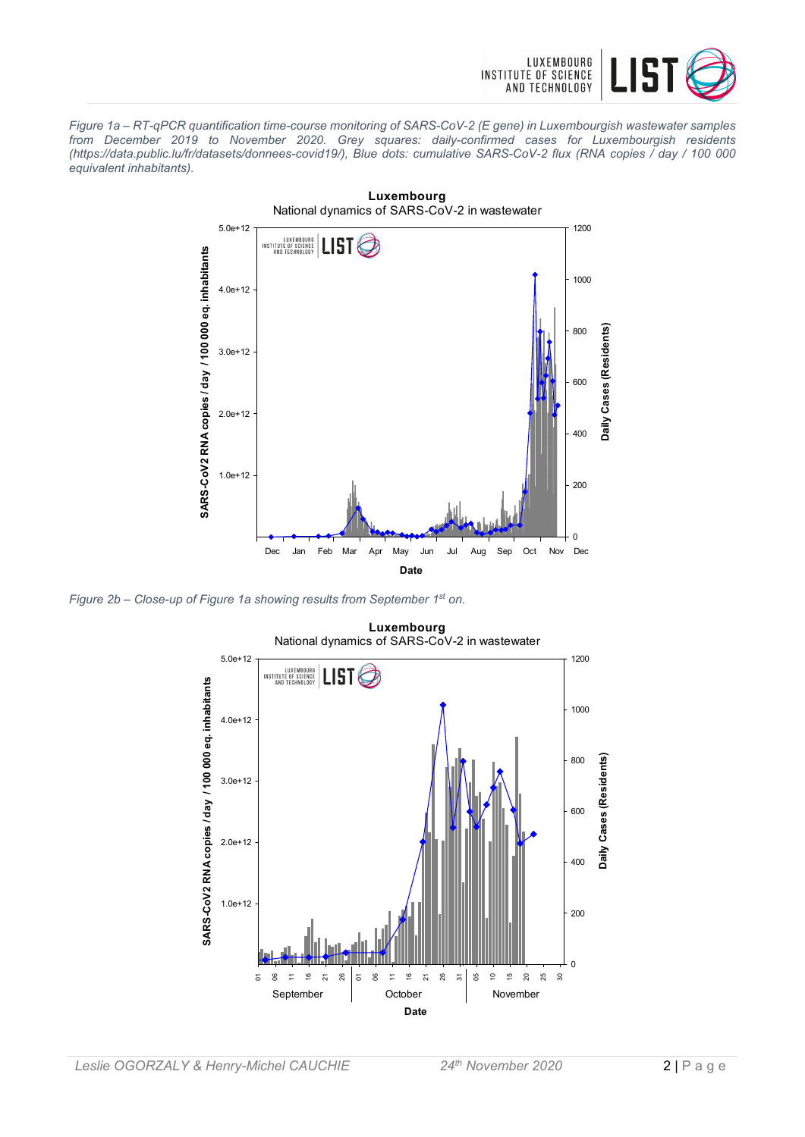

*Figure 1a – RT-qPCR quantification time-course monitoring of SARS-CoV-2 (E gene) in Luxembourgish wastewater samples from December 2019 to November 2020. Grey squares: daily-confirmed cases for Luxembourgish residents (https://data.public.lu/fr/datasets/donnees-covid19/), Blue dots: cumulative SARS-CoV-2 flux (RNA copies / day / 100 000 equivalent inhabitants).* 



*Figure 2b – Close-up of Figure 1a showing results from September 1st on.* 

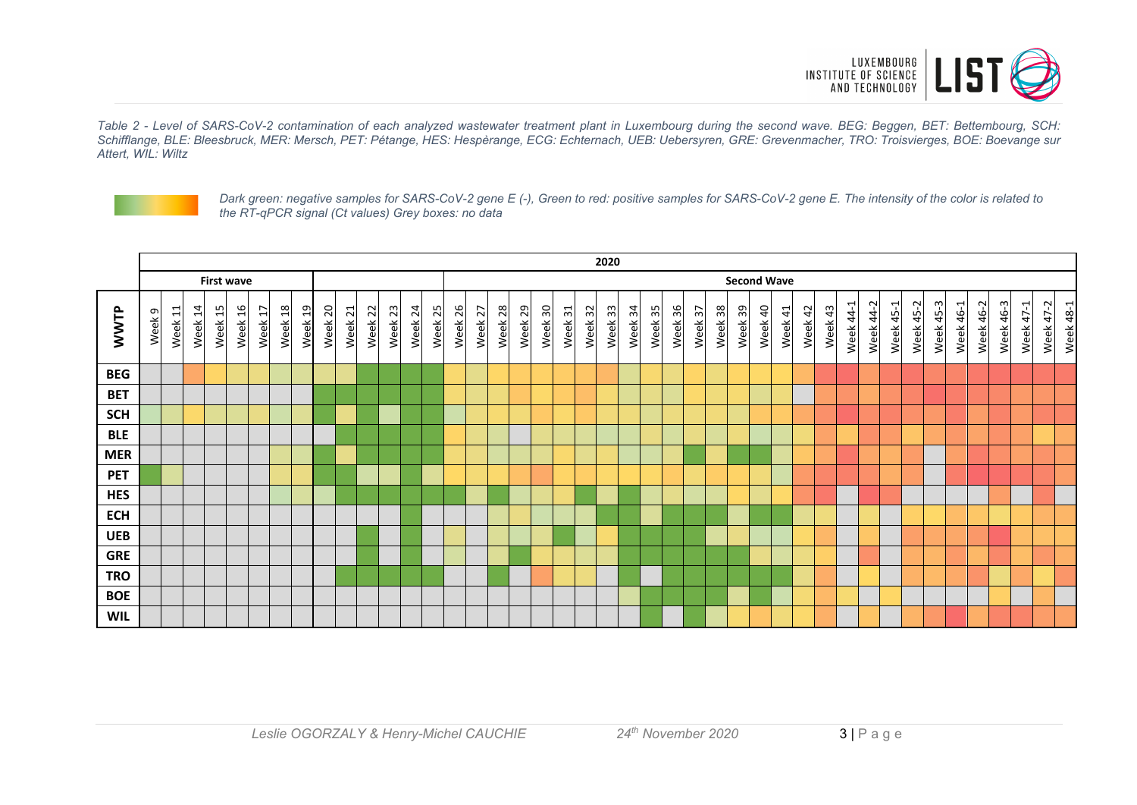

*Table 2 - Level of SARS-CoV-2 contamination of each analyzed wastewater treatment plant in Luxembourg during the second wave. BEG: Beggen, BET: Bettembourg, SCH: Schifflange, BLE: Bleesbruck, MER: Mersch, PET: Pétange, HES: Hespèrange, ECG: Echternach, UEB: Uebersyren, GRE: Grevenmacher, TRO: Troisvierges, BOE: Boevange sur Attert, WIL: Wiltz* 



*Dark green: negative samples for SARS-CoV-2 gene E (-), Green to red: positive samples for SARS-CoV-2 gene E. The intensity of the color is related to the RT-qPCR signal (Ct values) Grey boxes: no data* 

|            | 2020   |         |         |                   |         |         |         |         |         |         |         |         |         |         |         |         |             |         |         |         |         |         |         |         |         |         |         |         |         |                    |         |         |           |           |           |           |           |           |           |           |           |           |           |
|------------|--------|---------|---------|-------------------|---------|---------|---------|---------|---------|---------|---------|---------|---------|---------|---------|---------|-------------|---------|---------|---------|---------|---------|---------|---------|---------|---------|---------|---------|---------|--------------------|---------|---------|-----------|-----------|-----------|-----------|-----------|-----------|-----------|-----------|-----------|-----------|-----------|
|            |        |         |         | <b>First wave</b> |         |         |         |         |         |         |         |         |         |         |         |         |             |         |         |         |         |         |         |         |         |         |         |         |         | <b>Second Wave</b> |         |         |           |           |           |           |           |           |           |           |           |           |           |
| WWTP       | Week 9 | Week 11 | Week 14 | Week 15           | Week 16 | Week 17 | Week 18 | Week 19 | Week 20 | Week 21 | Week 22 | Week 23 | Week 24 | Week 25 | Week 26 | Week 27 | 28<br>Week: | Week 29 | Week 30 | Week 31 | Week 32 | Week 33 | Week 34 | Week 35 | Week 36 | Week 37 | Week 38 | Week 39 | Week 40 | Week 41            | Week 42 | Week 43 | Week 44-1 | Week 44-2 | Week 45-1 | Week 45-2 | Week 45-3 | Week 46-1 | Week 46-2 | Week 46-3 | Week 47-1 | Week 47-2 | Week 48-1 |
| <b>BEG</b> |        |         |         |                   |         |         |         |         |         |         |         |         |         |         |         |         |             |         |         |         |         |         |         |         |         |         |         |         |         |                    |         |         |           |           |           |           |           |           |           |           |           |           |           |
| <b>BET</b> |        |         |         |                   |         |         |         |         |         |         |         |         |         |         |         |         |             |         |         |         |         |         |         |         |         |         |         |         |         |                    |         |         |           |           |           |           |           |           |           |           |           |           |           |
| <b>SCH</b> |        |         |         |                   |         |         |         |         |         |         |         |         |         |         |         |         |             |         |         |         |         |         |         |         |         |         |         |         |         |                    |         |         |           |           |           |           |           |           |           |           |           |           |           |
| <b>BLE</b> |        |         |         |                   |         |         |         |         |         |         |         |         |         |         |         |         |             |         |         |         |         |         |         |         |         |         |         |         |         |                    |         |         |           |           |           |           |           |           |           |           |           |           |           |
| <b>MER</b> |        |         |         |                   |         |         |         |         |         |         |         |         |         |         |         |         |             |         |         |         |         |         |         |         |         |         |         |         |         |                    |         |         |           |           |           |           |           |           |           |           |           |           |           |
| <b>PET</b> |        |         |         |                   |         |         |         |         |         |         |         |         |         |         |         |         |             |         |         |         |         |         |         |         |         |         |         |         |         |                    |         |         |           |           |           |           |           |           |           |           |           |           |           |
| <b>HES</b> |        |         |         |                   |         |         |         |         |         |         |         |         |         |         |         |         |             |         |         |         |         |         |         |         |         |         |         |         |         |                    |         |         |           |           |           |           |           |           |           |           |           |           |           |
| <b>ECH</b> |        |         |         |                   |         |         |         |         |         |         |         |         |         |         |         |         |             |         |         |         |         |         |         |         |         |         |         |         |         |                    |         |         |           |           |           |           |           |           |           |           |           |           |           |
| <b>UEB</b> |        |         |         |                   |         |         |         |         |         |         |         |         |         |         |         |         |             |         |         |         |         |         |         |         |         |         |         |         |         |                    |         |         |           |           |           |           |           |           |           |           |           |           |           |
| <b>GRE</b> |        |         |         |                   |         |         |         |         |         |         |         |         |         |         |         |         |             |         |         |         |         |         |         |         |         |         |         |         |         |                    |         |         |           |           |           |           |           |           |           |           |           |           |           |
| <b>TRO</b> |        |         |         |                   |         |         |         |         |         |         |         |         |         |         |         |         |             |         |         |         |         |         |         |         |         |         |         |         |         |                    |         |         |           |           |           |           |           |           |           |           |           |           |           |
| <b>BOE</b> |        |         |         |                   |         |         |         |         |         |         |         |         |         |         |         |         |             |         |         |         |         |         |         |         |         |         |         |         |         |                    |         |         |           |           |           |           |           |           |           |           |           |           |           |
| <b>WIL</b> |        |         |         |                   |         |         |         |         |         |         |         |         |         |         |         |         |             |         |         |         |         |         |         |         |         |         |         |         |         |                    |         |         |           |           |           |           |           |           |           |           |           |           |           |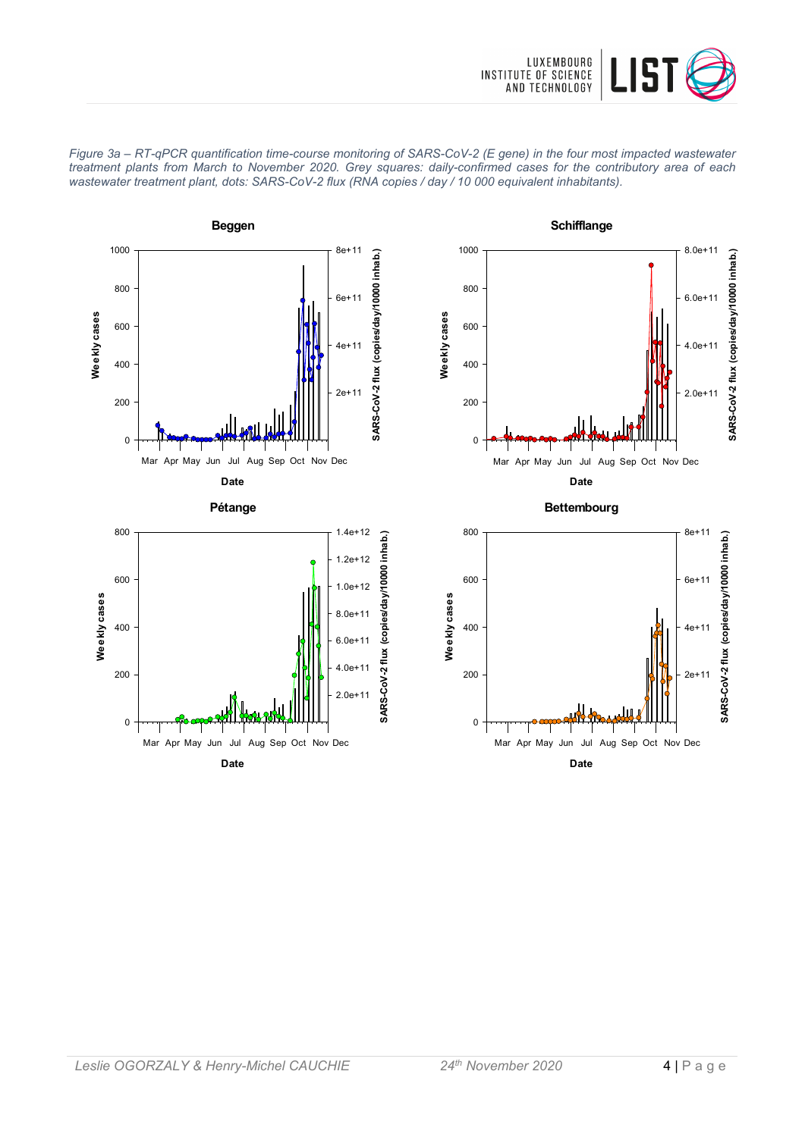









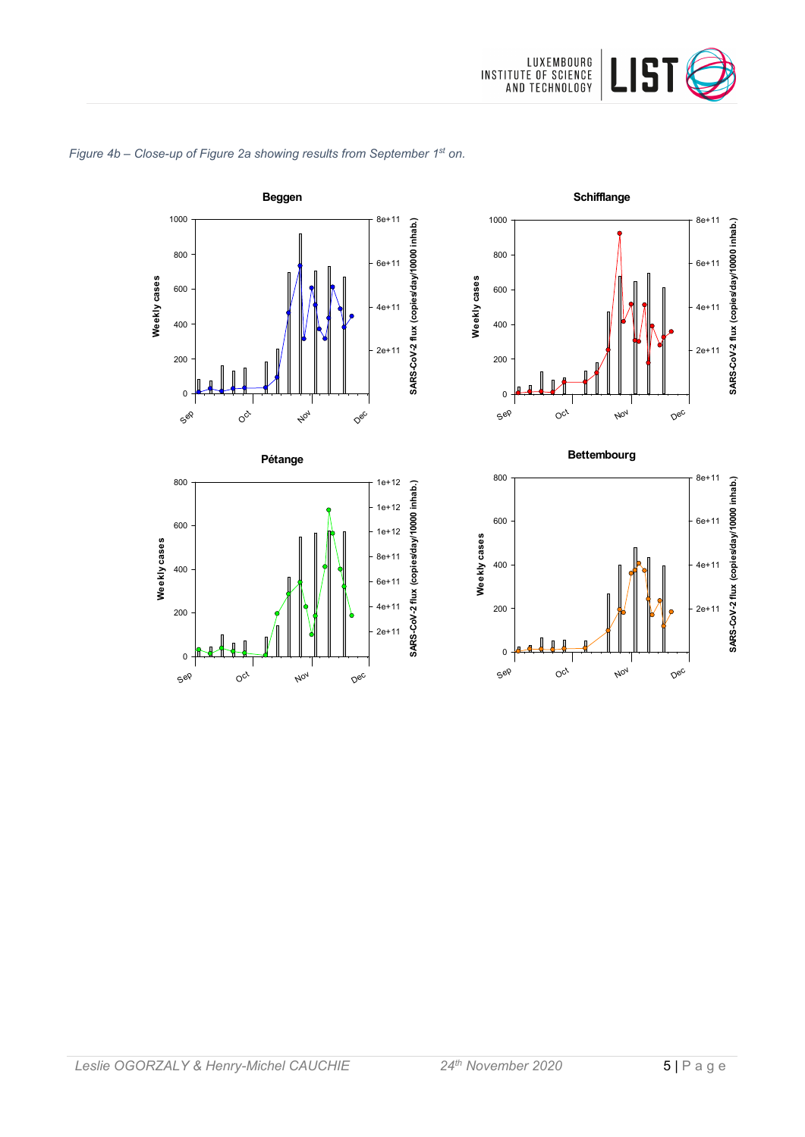









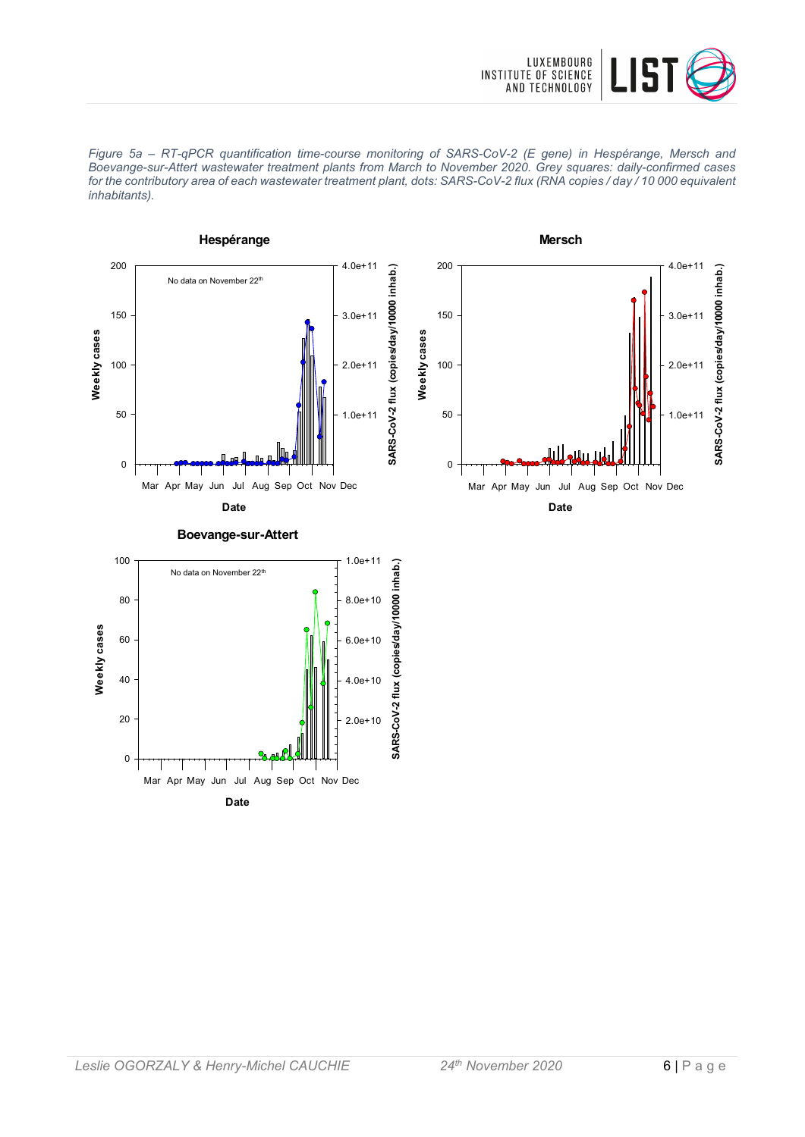





2.0e+10

SARS-CoV-2 flux

 $4.0e+10$ 

**Date** Mar Apr May Jun Jul Aug Sep Oct Nov Dec

0

20

40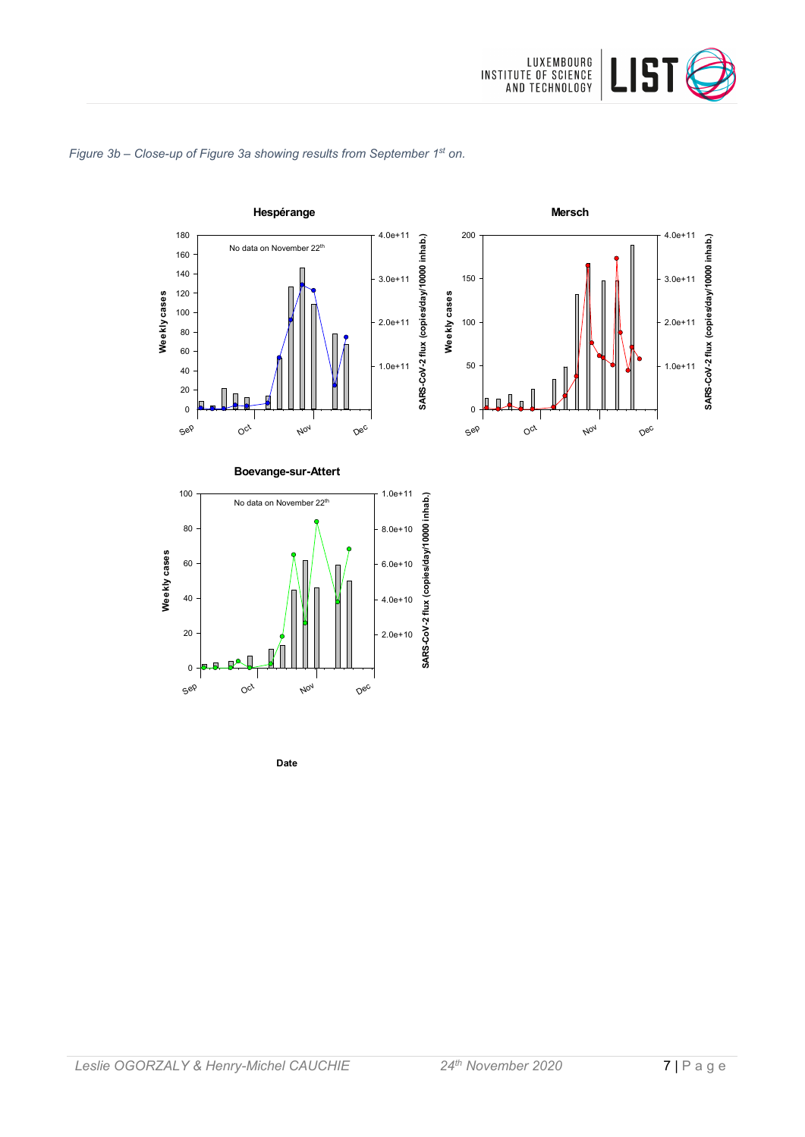

#### *Figure 3b – Close-up of Figure 3a showing results from September 1st on.*



**Date**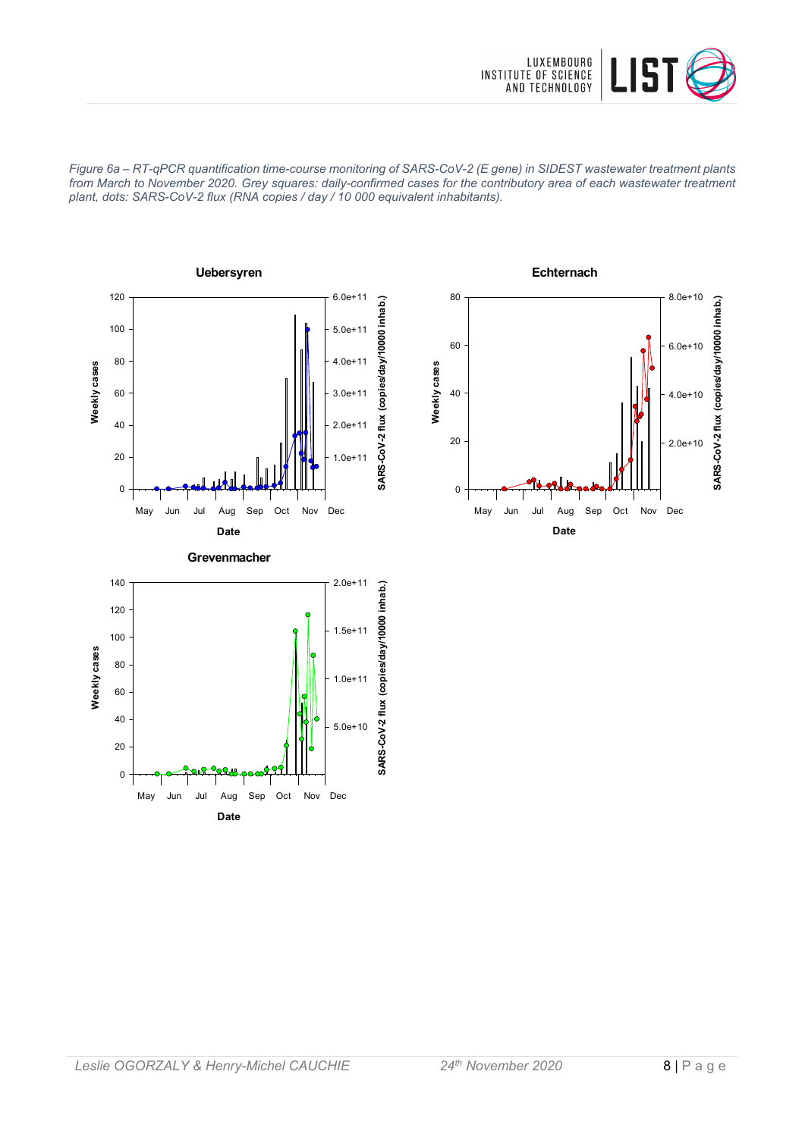

*Figure 6a – RT-qPCR quantification time-course monitoring of SARS-CoV-2 (E gene) in SIDEST wastewater treatment plants from March to November 2020. Grey squares: daily-confirmed cases for the contributory area of each wastewater treatment plant, dots: SARS-CoV-2 flux (RNA copies / day / 10 000 equivalent inhabitants).*



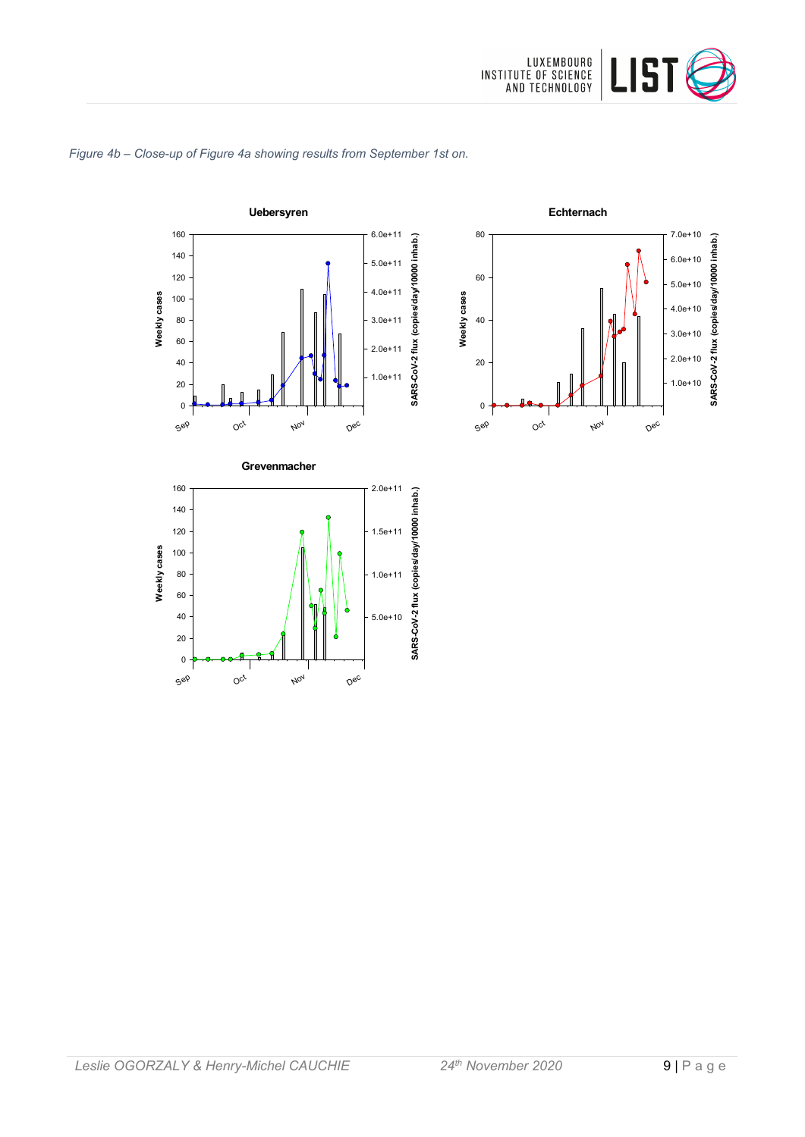

#### *Figure 4b – Close-up of Figure 4a showing results from September 1st on.*





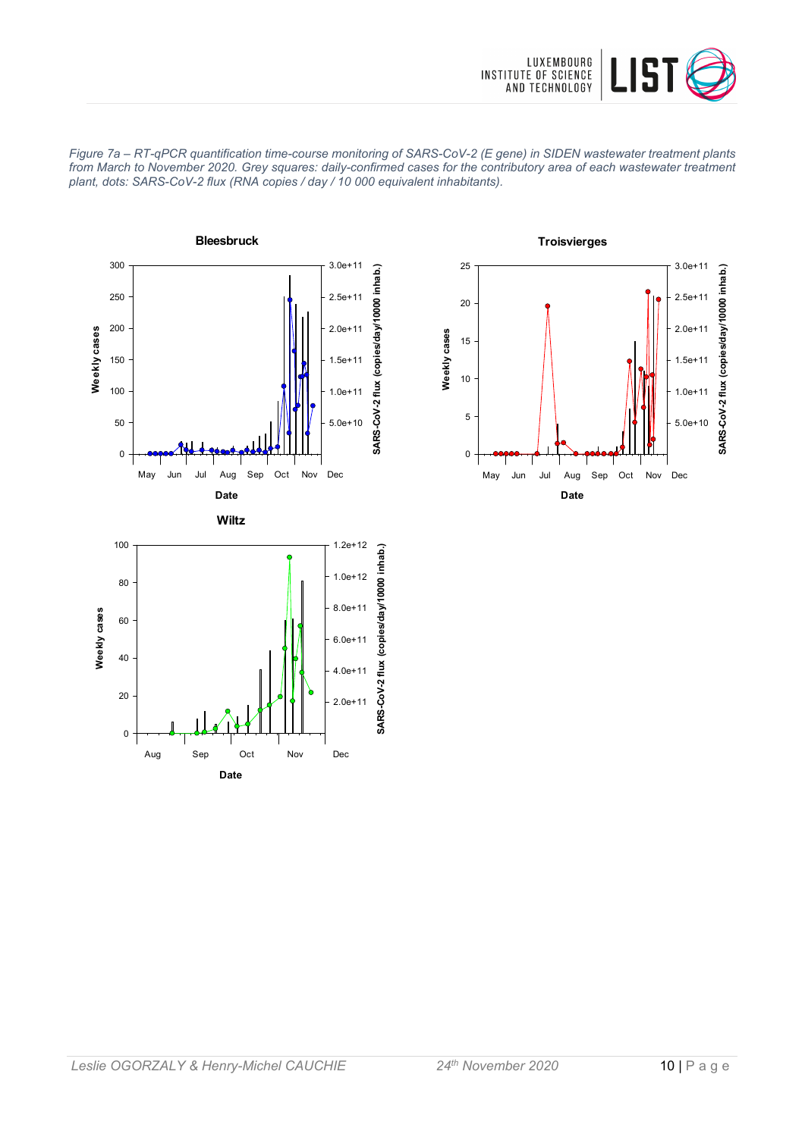





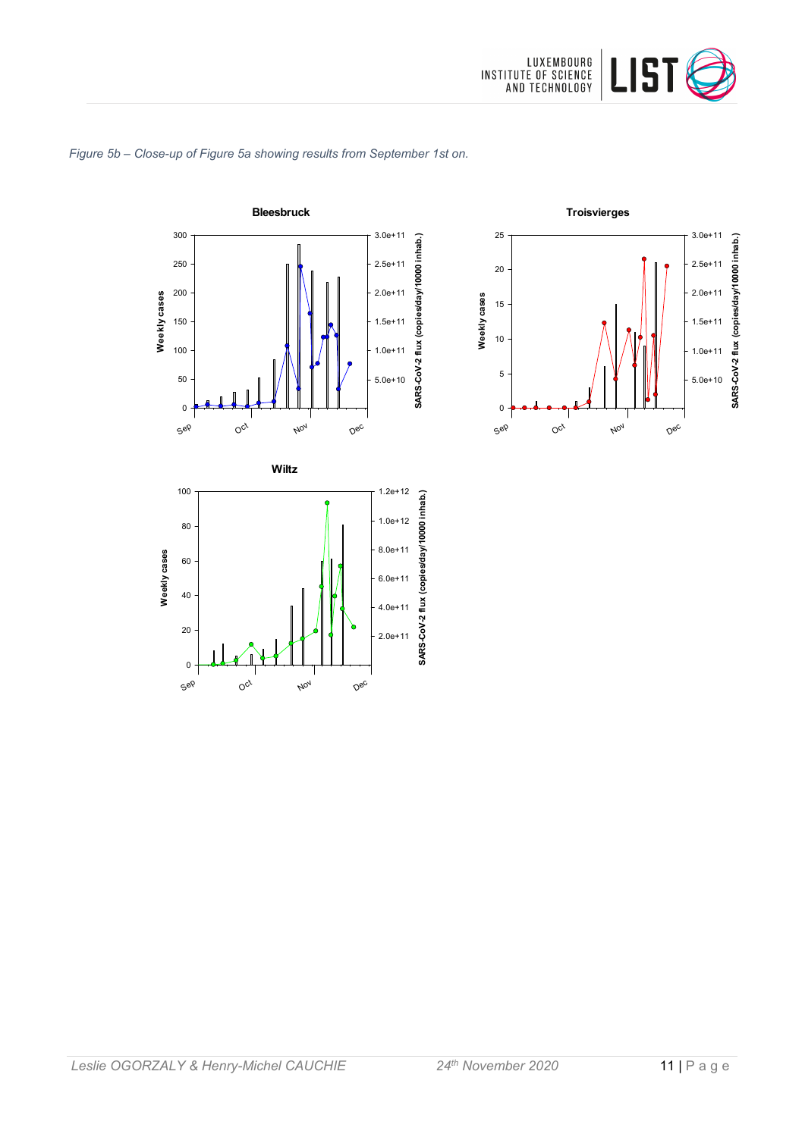





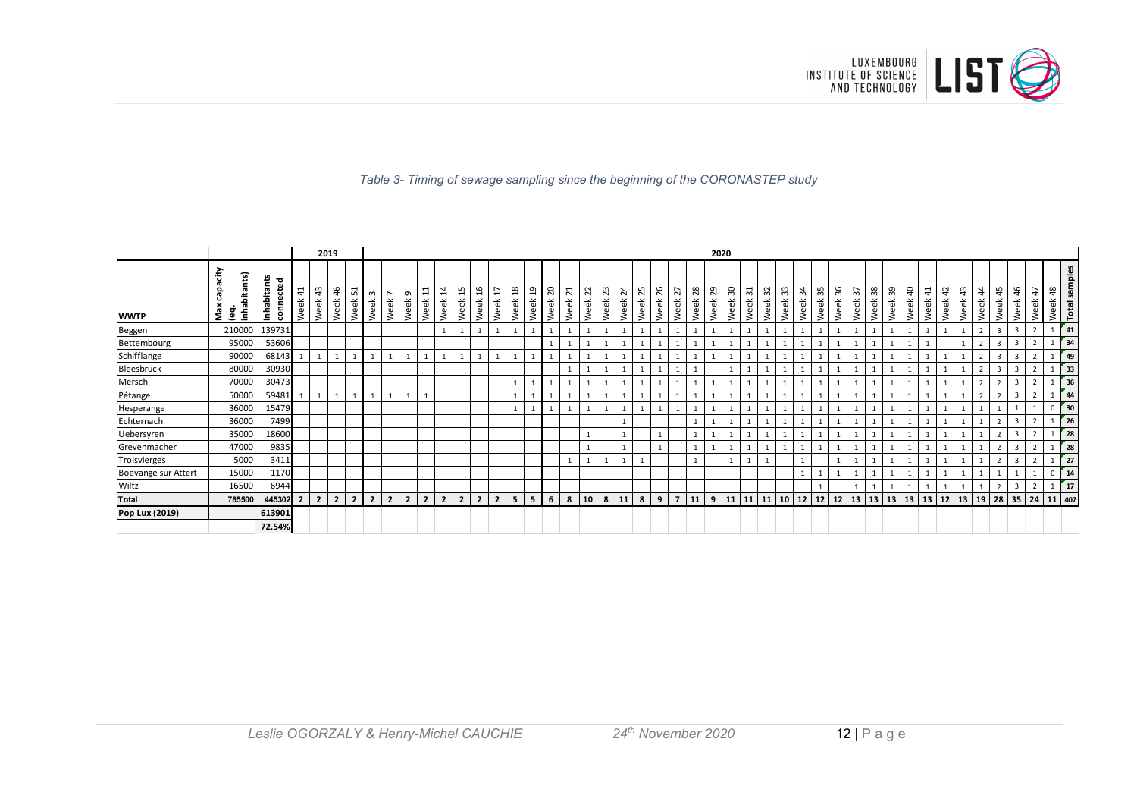

#### *Table 3- Timing of sewage sampling since the beginning of the CORONASTEP study*

|                     |                                         |                                   |                        | 2019           |                |                |                |                        |                  |                                  |                |                |                |                |                       |            |                   |           |            |            |                        |            |            |                |              | 2020       |           |           |             |                |              |           |         |                       |                   |                     |           |                    |            |               |                   |                         |                          |                    |             |                      |
|---------------------|-----------------------------------------|-----------------------------------|------------------------|----------------|----------------|----------------|----------------|------------------------|------------------|----------------------------------|----------------|----------------|----------------|----------------|-----------------------|------------|-------------------|-----------|------------|------------|------------------------|------------|------------|----------------|--------------|------------|-----------|-----------|-------------|----------------|--------------|-----------|---------|-----------------------|-------------------|---------------------|-----------|--------------------|------------|---------------|-------------------|-------------------------|--------------------------|--------------------|-------------|----------------------|
| <b>WWTP</b>         | έř<br>inhabitants)<br>ës<br>Max<br>္မ်ဳ | r<br>뭅<br>Inhabita<br>Ë<br>conno. | $\overline{4}$<br>Week | क्ष<br>Week    | 46<br>Week     | ᄓ<br>Week      | m<br>Week      | $\overline{ }$<br>Week | $\sigma$<br>Week | $\overline{\phantom{0}}$<br>Week | ʻz<br>Week     | H<br>Week      | ू<br>Week      | H<br>Week      | $\frac{8}{2}$<br>Week | ្អ<br>Week | ನ<br>ee<br>$\geq$ | ನ<br>Week | 22<br>Week | 23<br>Week | $\overline{z}$<br>Week | ಸಿ<br>Week | ಸಿ<br>Week | 27<br>Week     | 28<br>Week   | ని<br>Week | ႙<br>Week | ಸ<br>Week | 35<br>Week: | 33<br>eek<br>₹ | ¥<br>Week    | ౘ<br>Week | Week 36 | $\frac{2}{3}$<br>Week | 38<br>ee<br>₹     | 39<br>eek<br>$\geq$ | ੩<br>Week | $\ddot{4}$<br>Week | t5<br>Week | ੜ<br>eek<br>≷ | $\ddot{a}$<br>eek | 45<br>Week              | $\frac{4}{5}$<br>ee<br>≳ | $\ddot{4}$<br>Week | 48<br>Week  | <b>Total samples</b> |
| Beggen              | 210000                                  | 139731                            |                        |                |                |                |                |                        |                  |                                  |                |                |                |                |                       |            |                   |           |            |            |                        |            |            |                | $\mathbf{1}$ |            |           |           |             |                |              |           |         |                       |                   |                     |           |                    |            |               | $\overline{2}$    | $\overline{3}$          | $\overline{3}$           | $\overline{2}$     |             | 41                   |
| Bettembourg         | 95000                                   | 53606                             |                        |                |                |                |                |                        |                  |                                  |                |                |                |                |                       |            |                   |           |            |            |                        |            |            |                |              |            |           |           |             |                |              |           |         |                       |                   |                     |           |                    |            |               |                   | $\overline{3}$          | $\overline{3}$           |                    |             | 34                   |
| Schifflange         | 90000                                   | 68143                             | 1                      | 1              | 1              |                |                |                        |                  |                                  |                |                |                |                |                       |            |                   |           |            |            |                        |            |            |                | 1            |            |           |           |             |                |              |           |         |                       |                   |                     |           |                    |            |               | $\overline{2}$    | $\mathbf{3}$            | $\overline{\mathbf{3}}$  |                    |             | 49                   |
| Bleesbrück          | 80000                                   | 30930                             |                        |                |                |                |                |                        |                  |                                  |                |                |                |                |                       |            |                   |           |            |            |                        |            |            |                |              |            |           |           |             |                |              |           |         |                       |                   |                     |           |                    |            |               | 2                 | $\overline{\mathbf{3}}$ | $\overline{\mathbf{3}}$  |                    |             | 33                   |
| Mersch              | 70000                                   | 30473                             |                        |                |                |                |                |                        |                  |                                  |                |                |                |                |                       |            |                   |           |            |            |                        |            |            |                | $\mathbf{1}$ |            |           |           |             |                |              |           |         |                       |                   |                     |           |                    |            |               |                   |                         | 3                        |                    |             | 36                   |
| Pétange             | 50000                                   | 59481                             |                        | 1              | 1              |                | $\mathbf{1}$   |                        |                  |                                  |                |                |                |                |                       |            |                   |           |            |            |                        |            |            |                | 1            |            |           |           |             |                |              |           |         |                       |                   |                     |           |                    |            |               | $\overline{2}$    |                         | -3                       |                    |             | 44                   |
| Hesperange          | 36000                                   | 15479                             |                        |                |                |                |                |                        |                  |                                  |                |                |                |                |                       |            |                   |           |            |            |                        |            |            |                | 1            |            |           |           |             |                |              |           |         |                       |                   |                     |           |                    |            |               |                   |                         |                          |                    |             | 30                   |
| Echternach          | 36000                                   | 7499                              |                        |                |                |                |                |                        |                  |                                  |                |                |                |                |                       |            |                   |           |            |            | $\mathbf{1}$           |            |            |                | 1            |            |           |           |             |                |              |           |         |                       |                   |                     |           |                    |            |               |                   |                         | 3                        |                    |             | 26                   |
| Uebersyren          | 35000                                   | 18600                             |                        |                |                |                |                |                        |                  |                                  |                |                |                |                |                       |            |                   |           |            |            | $\mathbf{1}$           |            |            |                | $\mathbf{1}$ |            |           |           |             |                |              |           |         |                       |                   |                     |           |                    |            |               |                   |                         | $\overline{3}$           |                    |             | 28                   |
| Grevenmacher        | 47000                                   | 9835                              |                        |                |                |                |                |                        |                  |                                  |                |                |                |                |                       |            |                   |           |            |            | $\mathbf{1}$           |            |            |                | $\mathbf{1}$ |            |           |           |             |                |              |           |         |                       |                   |                     |           |                    |            |               |                   |                         | $\overline{\mathbf{3}}$  |                    |             | 28                   |
| Troisvierges        | 5000                                    | 3411                              |                        |                |                |                |                |                        |                  |                                  |                |                |                |                |                       |            |                   |           |            |            | $\mathbf{1}$           |            |            |                | 1            |            |           |           |             |                |              |           |         |                       |                   |                     |           |                    |            |               |                   | $\overline{2}$          | $\overline{\mathbf{3}}$  |                    |             | 27                   |
| Boevange sur Attert | 15000                                   | 1170                              |                        |                |                |                |                |                        |                  |                                  |                |                |                |                |                       |            |                   |           |            |            |                        |            |            |                |              |            |           |           |             |                | $\mathbf{1}$ |           |         |                       |                   |                     |           |                    |            |               |                   |                         |                          |                    | $\mathbf 0$ | $\int$ 14            |
| Wiltz               | 16500                                   | 6944                              |                        |                |                |                |                |                        |                  |                                  |                |                |                |                |                       |            |                   |           |            |            |                        |            |            |                |              |            |           |           |             |                |              |           |         |                       |                   |                     |           |                    |            |               |                   |                         | 3                        |                    |             | 17                   |
| <b>Total</b>        | 785500                                  | 445302                            | $\overline{2}$         | $\overline{2}$ | 2 <sup>1</sup> | $\overline{2}$ | $\overline{2}$ | $\overline{2}$         | $\overline{2}$   | $\overline{2}$                   | $\overline{2}$ | $\overline{2}$ | $\overline{2}$ | $\overline{2}$ | 5                     | 5          | 6                 | 8         | 10         | 8          | 11                     | 8          | 9          | $\overline{z}$ | 11           | 9          | 11        |           | $11$ 11 10  |                | 12           | 12        | 12      |                       | $13 \mid 13 \mid$ | $13 \mid 13$        |           | 13                 | 12         | 13            | 19                |                         | $28 \mid 35 \mid 24$     |                    | 11 407      |                      |
| Pop Lux (2019)      |                                         | 613901                            |                        |                |                |                |                |                        |                  |                                  |                |                |                |                |                       |            |                   |           |            |            |                        |            |            |                |              |            |           |           |             |                |              |           |         |                       |                   |                     |           |                    |            |               |                   |                         |                          |                    |             |                      |
|                     |                                         | 72.54%                            |                        |                |                |                |                |                        |                  |                                  |                |                |                |                |                       |            |                   |           |            |            |                        |            |            |                |              |            |           |           |             |                |              |           |         |                       |                   |                     |           |                    |            |               |                   |                         |                          |                    |             |                      |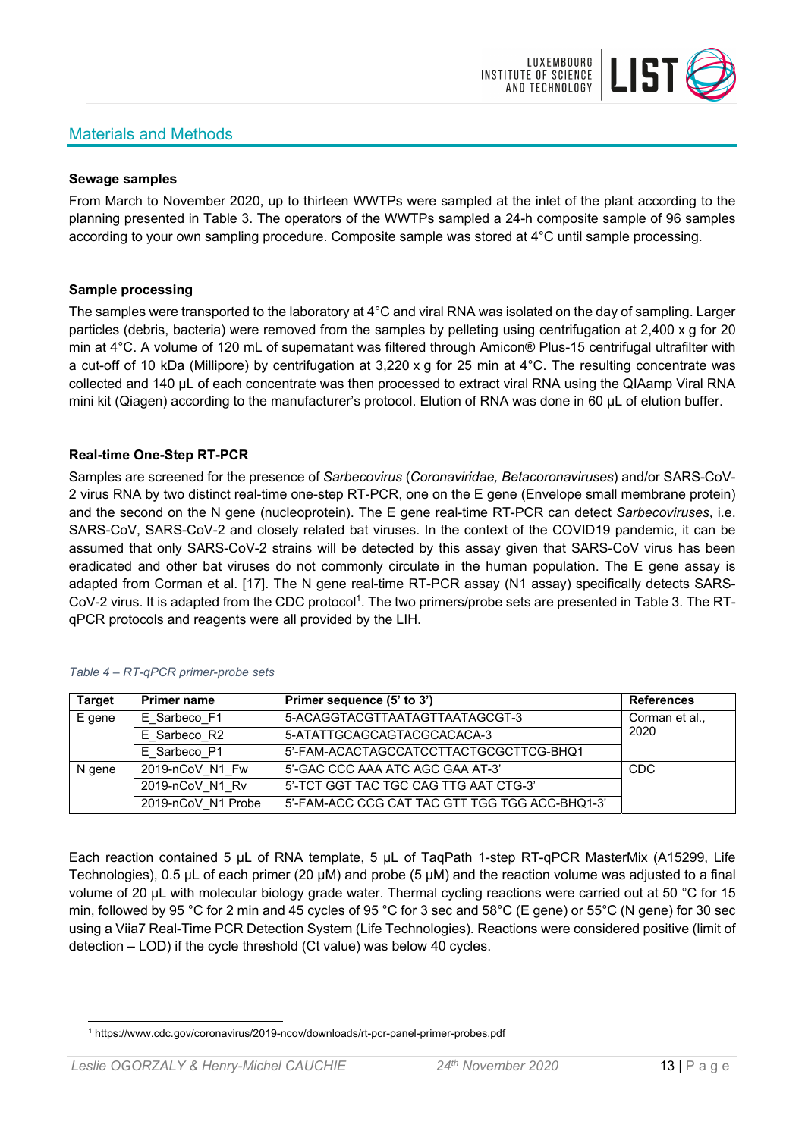# Materials and Methods



## **Sewage samples**

From March to November 2020, up to thirteen WWTPs were sampled at the inlet of the plant according to the planning presented in Table 3. The operators of the WWTPs sampled a 24-h composite sample of 96 samples according to your own sampling procedure. Composite sample was stored at 4°C until sample processing.

## **Sample processing**

The samples were transported to the laboratory at 4°C and viral RNA was isolated on the day of sampling. Larger particles (debris, bacteria) were removed from the samples by pelleting using centrifugation at 2,400 x g for 20 min at 4°C. A volume of 120 mL of supernatant was filtered through Amicon® Plus-15 centrifugal ultrafilter with a cut-off of 10 kDa (Millipore) by centrifugation at 3,220 x g for 25 min at 4°C. The resulting concentrate was collected and 140 µL of each concentrate was then processed to extract viral RNA using the QIAamp Viral RNA mini kit (Qiagen) according to the manufacturer's protocol. Elution of RNA was done in 60 μL of elution buffer.

# **Real-time One-Step RT-PCR**

Samples are screened for the presence of *Sarbecovirus* (*Coronaviridae, Betacoronaviruses*) and/or SARS-CoV-2 virus RNA by two distinct real-time one-step RT-PCR, one on the E gene (Envelope small membrane protein) and the second on the N gene (nucleoprotein). The E gene real-time RT-PCR can detect *Sarbecoviruses*, i.e. SARS-CoV, SARS-CoV-2 and closely related bat viruses. In the context of the COVID19 pandemic, it can be assumed that only SARS-CoV-2 strains will be detected by this assay given that SARS-CoV virus has been eradicated and other bat viruses do not commonly circulate in the human population. The E gene assay is adapted from Corman et al. [17]. The N gene real-time RT-PCR assay (N1 assay) specifically detects SARS-CoV-2 virus. It is adapted from the CDC protocol<sup>1</sup>. The two primers/probe sets are presented in Table 3. The RTqPCR protocols and reagents were all provided by the LIH.

| <b>Target</b> | <b>Primer name</b> | Primer sequence (5' to 3')                     | <b>References</b> |
|---------------|--------------------|------------------------------------------------|-------------------|
| E gene        | E Sarbeco F1       | 5-ACAGGTACGTTAATAGTTAATAGCGT-3                 | Corman et al.,    |
|               | E Sarbeco R2       | 5-ATATTGCAGCAGTACGCACACA-3                     | 2020              |
|               | E Sarbeco P1       | 5'-FAM-ACACTAGCCATCCTTACTGCGCTTCG-BHQ1         |                   |
| N gene        | 2019-nCoV N1 Fw    | 5'-GAC CCC AAA ATC AGC GAA AT-3'               | <b>CDC</b>        |
|               | 2019-nCoV N1 Rv    | 5'-TCT GGT TAC TGC CAG TTG AAT CTG-3'          |                   |
|               | 2019-nCoV N1 Probe | 5'-FAM-ACC CCG CAT TAC GTT TGG TGG ACC-BHQ1-3' |                   |

#### *Table 4 – RT-qPCR primer-probe sets*

Each reaction contained 5 μL of RNA template, 5 μL of TaqPath 1-step RT-qPCR MasterMix (A15299, Life Technologies), 0.5 µL of each primer (20 µM) and probe (5 µM) and the reaction volume was adjusted to a final volume of 20 μL with molecular biology grade water. Thermal cycling reactions were carried out at 50 °C for 15 min, followed by 95 °C for 2 min and 45 cycles of 95 °C for 3 sec and 58°C (E gene) or 55°C (N gene) for 30 sec using a Viia7 Real-Time PCR Detection System (Life Technologies). Reactions were considered positive (limit of detection – LOD) if the cycle threshold (Ct value) was below 40 cycles.

<sup>1</sup> https://www.cdc.gov/coronavirus/2019-ncov/downloads/rt-pcr-panel-primer-probes.pdf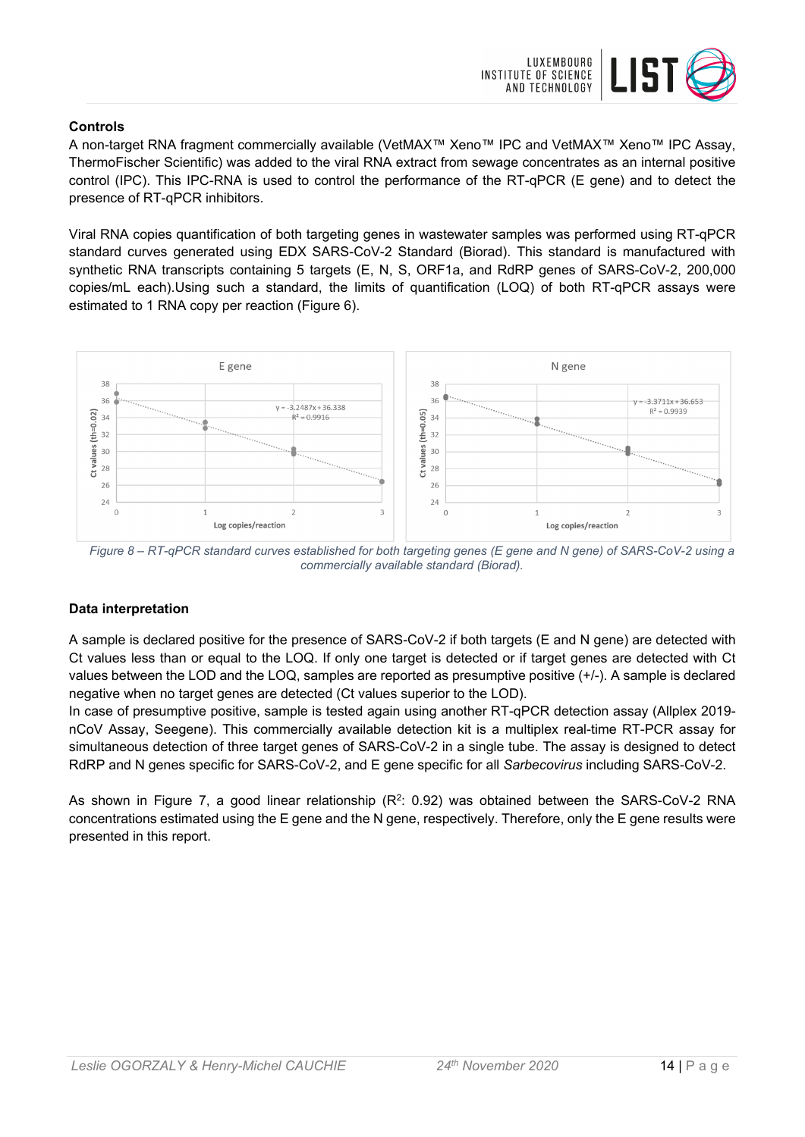

# **Controls**

A non-target RNA fragment commercially available (VetMAX™ Xeno™ IPC and VetMAX™ Xeno™ IPC Assay, ThermoFischer Scientific) was added to the viral RNA extract from sewage concentrates as an internal positive control (IPC). This IPC-RNA is used to control the performance of the RT-qPCR (E gene) and to detect the presence of RT-qPCR inhibitors.

Viral RNA copies quantification of both targeting genes in wastewater samples was performed using RT-qPCR standard curves generated using EDX SARS-CoV-2 Standard (Biorad). This standard is manufactured with synthetic RNA transcripts containing 5 targets (E, N, S, ORF1a, and RdRP genes of SARS-CoV-2, 200,000 copies/mL each).Using such a standard, the limits of quantification (LOQ) of both RT-qPCR assays were estimated to 1 RNA copy per reaction (Figure 6).



*Figure 8 – RT-qPCR standard curves established for both targeting genes (E gene and N gene) of SARS-CoV-2 using a commercially available standard (Biorad).* 

## **Data interpretation**

A sample is declared positive for the presence of SARS-CoV-2 if both targets (E and N gene) are detected with Ct values less than or equal to the LOQ. If only one target is detected or if target genes are detected with Ct values between the LOD and the LOQ, samples are reported as presumptive positive (+/-). A sample is declared negative when no target genes are detected (Ct values superior to the LOD).

In case of presumptive positive, sample is tested again using another RT-qPCR detection assay (Allplex 2019 nCoV Assay, Seegene). This commercially available detection kit is a multiplex real-time RT-PCR assay for simultaneous detection of three target genes of SARS-CoV-2 in a single tube. The assay is designed to detect RdRP and N genes specific for SARS-CoV-2, and E gene specific for all *Sarbecovirus* including SARS-CoV-2.

As shown in Figure 7, a good linear relationship  $(R^2: 0.92)$  was obtained between the SARS-CoV-2 RNA concentrations estimated using the E gene and the N gene, respectively. Therefore, only the E gene results were presented in this report.